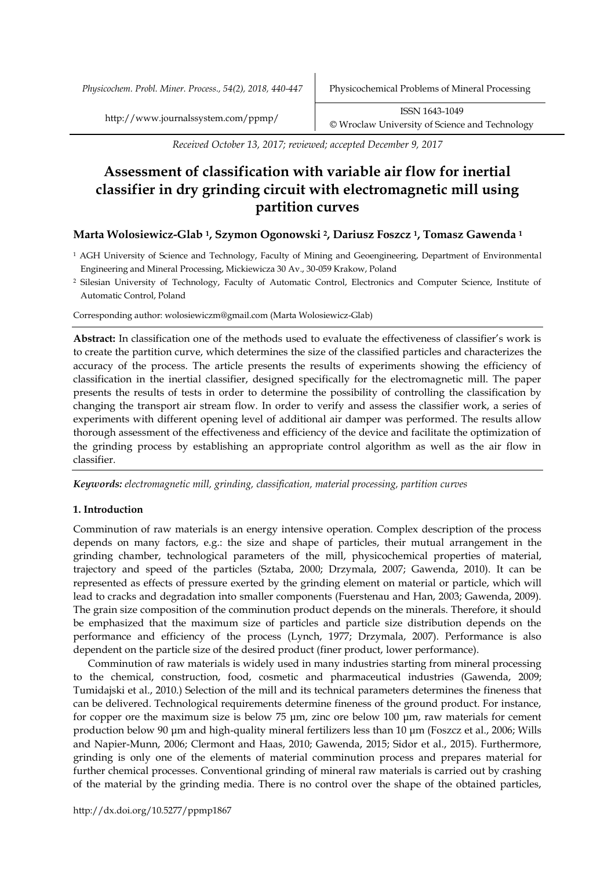*Physicochem. Probl. Miner. Process., 54(2), 2018, 440-447* Physicochemical Problems of Mineral Processing

http://www.journalssystem.com/ppmp/ ISSN 1643-1049 [©](http://www.minproc.pwr.wroc.pl/journal/) Wroclaw University of Science and Technology

*Received October 13, 2017; reviewed; accepted December 9, 2017*

# **Assessment of classification with variable air flow for inertial classifier in dry grinding circuit with electromagnetic mill using partition curves**

# **Marta Wolosiewicz-Glab 1, Szymon Ogonowski 2, Dariusz Foszcz 1, Tomasz Gawenda <sup>1</sup>**

- <sup>1</sup> AGH University of Science and Technology, Faculty of Mining and Geoengineering, Department of Environmental Engineering and Mineral Processing, Mickiewicza 30 Av., 30-059 Krakow, Poland
- <sup>2</sup> Silesian University of Technology, Faculty of Automatic Control, Electronics and Computer Science, Institute of Automatic Control, Poland

Corresponding author: wolosiewiczm@gmail.com (Marta Wolosiewicz-Glab)

**Abstract:** In classification one of the methods used to evaluate the effectiveness of classifier's work is to create the partition curve, which determines the size of the classified particles and characterizes the accuracy of the process. The article presents the results of experiments showing the efficiency of classification in the inertial classifier, designed specifically for the electromagnetic mill. The paper presents the results of tests in order to determine the possibility of controlling the classification by changing the transport air stream flow. In order to verify and assess the classifier work, a series of experiments with different opening level of additional air damper was performed. The results allow thorough assessment of the effectiveness and efficiency of the device and facilitate the optimization of the grinding process by establishing an appropriate control algorithm as well as the air flow in classifier.

*Keywords: electromagnetic mill, grinding, classification, material processing, partition curves*

# **1. Introduction**

Comminution of raw materials is an energy intensive operation. Complex description of the process depends on many factors, e.g.: the size and shape of particles, their mutual arrangement in the grinding chamber, technological parameters of the mill, physicochemical properties of material, trajectory and speed of the particles (Sztaba, 2000; Drzymala, 2007; Gawenda, 2010). It can be represented as effects of pressure exerted by the grinding element on material or particle, which will lead to cracks and degradation into smaller components (Fuerstenau and Han, 2003; Gawenda, 2009). The grain size composition of the comminution product depends on the minerals. Therefore, it should be emphasized that the maximum size of particles and particle size distribution depends on the performance and efficiency of the process (Lynch, 1977; Drzymala, 2007). Performance is also dependent on the particle size of the desired product (finer product, lower performance).

Comminution of raw materials is widely used in many industries starting from mineral processing to the chemical, construction, food, cosmetic and pharmaceutical industries (Gawenda, 2009; Tumidajski et al., 2010.) Selection of the mill and its technical parameters determines the fineness that can be delivered. Technological requirements determine fineness of the ground product. For instance, for copper ore the maximum size is below 75 μm, zinc ore below 100 μm, raw materials for cement production below 90 μm and high-quality mineral fertilizers less than 10 μm (Foszcz et al., 2006; Wills and Napier-Munn, 2006; Clermont and Haas, 2010; Gawenda, 2015; Sidor et al., 2015). Furthermore, grinding is only one of the elements of material comminution process and prepares material for further chemical processes. Conventional grinding of mineral raw materials is carried out by crashing of the material by the grinding media. There is no control over the shape of the obtained particles,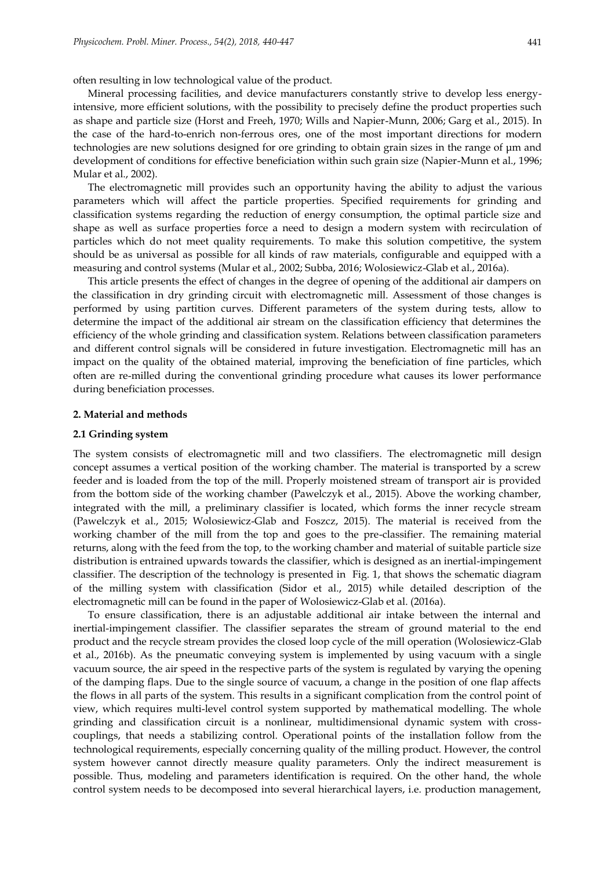often resulting in low technological value of the product.

Mineral processing facilities, and device manufacturers constantly strive to develop less energyintensive, more efficient solutions, with the possibility to precisely define the product properties such as shape and particle size (Horst and Freeh, 1970; Wills and Napier-Munn, 2006; Garg et al., 2015). In the case of the hard-to-enrich non-ferrous ores, one of the most important directions for modern technologies are new solutions designed for ore grinding to obtain grain sizes in the range of μm and development of conditions for effective beneficiation within such grain size (Napier-Munn et al., 1996; Mular et al., 2002).

The electromagnetic mill provides such an opportunity having the ability to adjust the various parameters which will affect the particle properties. Specified requirements for grinding and classification systems regarding the reduction of energy consumption, the optimal particle size and shape as well as surface properties force a need to design a modern system with recirculation of particles which do not meet quality requirements. To make this solution competitive, the system should be as universal as possible for all kinds of raw materials, configurable and equipped with a measuring and control systems (Mular et al., 2002; Subba, 2016; Wolosiewicz-Glab et al., 2016a).

This article presents the effect of changes in the degree of opening of the additional air dampers on the classification in dry grinding circuit with electromagnetic mill. Assessment of those changes is performed by using partition curves. Different parameters of the system during tests, allow to determine the impact of the additional air stream on the classification efficiency that determines the efficiency of the whole grinding and classification system. Relations between classification parameters and different control signals will be considered in future investigation. Electromagnetic mill has an impact on the quality of the obtained material, improving the beneficiation of fine particles, which often are re-milled during the conventional grinding procedure what causes its lower performance during beneficiation processes.

#### **2. Material and methods**

## **2.1 Grinding system**

The system consists of electromagnetic mill and two classifiers. The electromagnetic mill design concept assumes a vertical position of the working chamber. The material is transported by a screw feeder and is loaded from the top of the mill. Properly moistened stream of transport air is provided from the bottom side of the working chamber (Pawelczyk et al., 2015). Above the working chamber, integrated with the mill, a preliminary classifier is located, which forms the inner recycle stream (Pawelczyk et al., 2015; Wolosiewicz-Glab and Foszcz, 2015). The material is received from the working chamber of the mill from the top and goes to the pre-classifier. The remaining material returns, along with the feed from the top, to the working chamber and material of suitable particle size distribution is entrained upwards towards the classifier, which is designed as an inertial-impingement classifier. The description of the technology is presented in Fig. 1, that shows the schematic diagram of the milling system with classification (Sidor et al., 2015) while detailed description of the electromagnetic mill can be found in the paper of Wolosiewicz-Glab et al. (2016a).

To ensure classification, there is an adjustable additional air intake between the internal and inertial-impingement classifier. The classifier separates the stream of ground material to the end product and the recycle stream provides the closed loop cycle of the mill operation (Wolosiewicz-Glab et al., 2016b). As the pneumatic conveying system is implemented by using vacuum with a single vacuum source, the air speed in the respective parts of the system is regulated by varying the opening of the damping flaps. Due to the single source of vacuum, a change in the position of one flap affects the flows in all parts of the system. This results in a significant complication from the control point of view, which requires multi-level control system supported by mathematical modelling. The whole grinding and classification circuit is a nonlinear, multidimensional dynamic system with crosscouplings, that needs a stabilizing control. Operational points of the installation follow from the technological requirements, especially concerning quality of the milling product. However, the control system however cannot directly measure quality parameters. Only the indirect measurement is possible. Thus, modeling and parameters identification is required. On the other hand, the whole control system needs to be decomposed into several hierarchical layers, i.e. production management,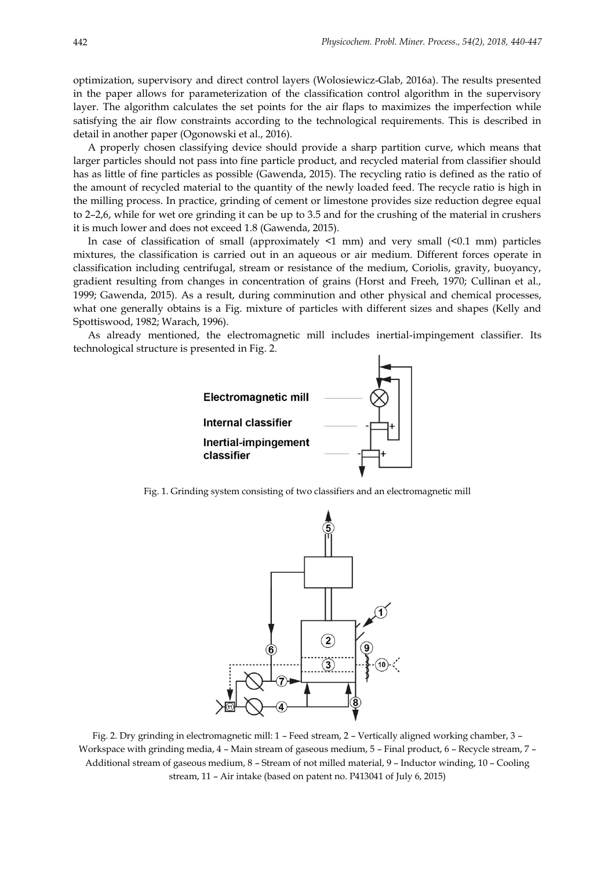optimization, supervisory and direct control layers (Wolosiewicz-Glab, 2016a). The results presented in the paper allows for parameterization of the classification control algorithm in the supervisory layer. The algorithm calculates the set points for the air flaps to maximizes the imperfection while satisfying the air flow constraints according to the technological requirements. This is described in detail in another paper (Ogonowski et al., 2016).

A properly chosen classifying device should provide a sharp partition curve, which means that larger particles should not pass into fine particle product, and recycled material from classifier should has as little of fine particles as possible (Gawenda, 2015). The recycling ratio is defined as the ratio of the amount of recycled material to the quantity of the newly loaded feed. The recycle ratio is high in the milling process. In practice, grinding of cement or limestone provides size reduction degree equal to 2–2,6, while for wet ore grinding it can be up to 3.5 and for the crushing of the material in crushers it is much lower and does not exceed 1.8 (Gawenda, 2015).

In case of classification of small (approximately  $\leq 1$  mm) and very small  $(\leq 0.1$  mm) particles mixtures, the classification is carried out in an aqueous or air medium. Different forces operate in classification including centrifugal, stream or resistance of the medium, Coriolis, gravity, buoyancy, gradient resulting from changes in concentration of grains (Horst and Freeh, 1970; Cullinan et al., 1999; Gawenda, 2015). As a result, during comminution and other physical and chemical processes, what one generally obtains is a Fig. mixture of particles with different sizes and shapes (Kelly and Spottiswood, 1982; Warach, 1996).

As already mentioned, the electromagnetic mill includes inertial-impingement classifier. Its technological structure is presented in Fig. 2.



Fig. 1. Grinding system consisting of two classifiers and an electromagnetic mill



Fig. 2. Dry grinding in electromagnetic mill: 1 – Feed stream, 2 – Vertically aligned working chamber, 3 – Workspace with grinding media, 4 – Main stream of gaseous medium, 5 – Final product, 6 – Recycle stream, 7 – Additional stream of gaseous medium, 8 – Stream of not milled material, 9 – Inductor winding, 10 – Cooling stream, 11 – Air intake (based on patent no. P413041 of July 6, 2015)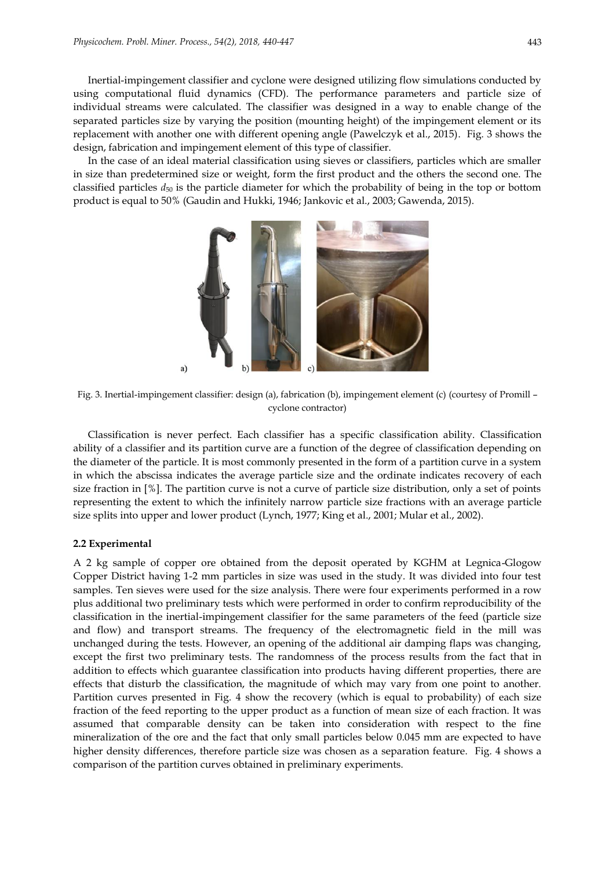Inertial-impingement classifier and cyclone were designed utilizing flow simulations conducted by using computational fluid dynamics (CFD). The performance parameters and particle size of individual streams were calculated. The classifier was designed in a way to enable change of the separated particles size by varying the position (mounting height) of the impingement element or its replacement with another one with different opening angle (Pawelczyk et al., 2015). Fig. 3 shows the design, fabrication and impingement element of this type of classifier.

In the case of an ideal material classification using sieves or classifiers, particles which are smaller in size than predetermined size or weight, form the first product and the others the second one. The classified particles *d*<sup>50</sup> is the particle diameter for which the probability of being in the top or bottom product is equal to 50% (Gaudin and Hukki, 1946; Jankovic et al., 2003; Gawenda, 2015).



Fig. 3. Inertial-impingement classifier: design (a), fabrication (b), impingement element (c) (courtesy of Promill – cyclone contractor)

Classification is never perfect. Each classifier has a specific classification ability. Classification ability of a classifier and its partition curve are a function of the degree of classification depending on the diameter of the particle. It is most commonly presented in the form of a partition curve in a system in which the abscissa indicates the average particle size and the ordinate indicates recovery of each size fraction in [%]. The partition curve is not a curve of particle size distribution, only a set of points representing the extent to which the infinitely narrow particle size fractions with an average particle size splits into upper and lower product (Lynch, 1977; King et al., 2001; Mular et al., 2002).

## **2.2 Experimental**

A 2 kg sample of copper ore obtained from the deposit operated by KGHM at Legnica-Glogow Copper District having 1-2 mm particles in size was used in the study. It was divided into four test samples. Ten sieves were used for the size analysis. There were four experiments performed in a row plus additional two preliminary tests which were performed in order to confirm reproducibility of the classification in the inertial-impingement classifier for the same parameters of the feed (particle size and flow) and transport streams. The frequency of the electromagnetic field in the mill was unchanged during the tests. However, an opening of the additional air damping flaps was changing, except the first two preliminary tests. The randomness of the process results from the fact that in addition to effects which guarantee classification into products having different properties, there are effects that disturb the classification, the magnitude of which may vary from one point to another. Partition curves presented in Fig. 4 show the recovery (which is equal to probability) of each size fraction of the feed reporting to the upper product as a function of mean size of each fraction. It was assumed that comparable density can be taken into consideration with respect to the fine mineralization of the ore and the fact that only small particles below 0.045 mm are expected to have higher density differences, therefore particle size was chosen as a separation feature. Fig. 4 shows a comparison of the partition curves obtained in preliminary experiments.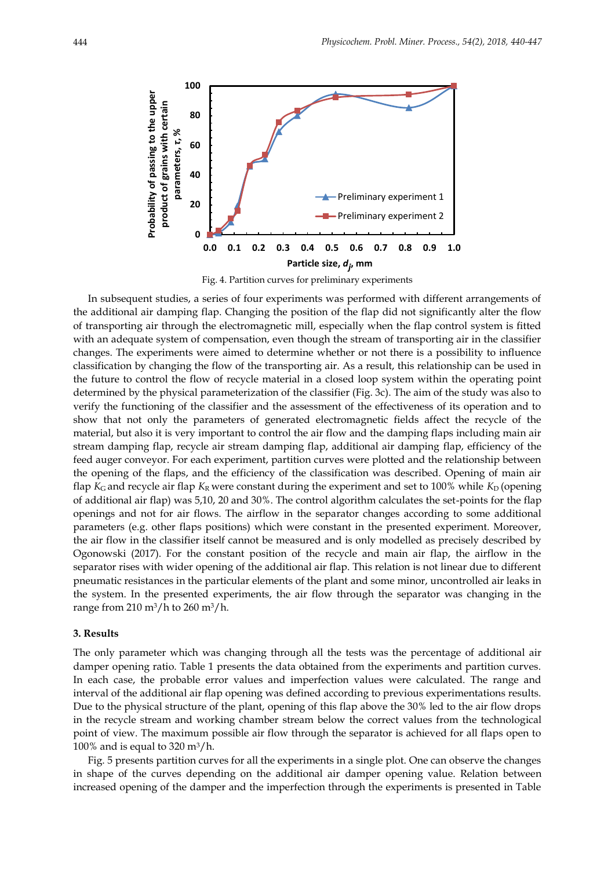

Fig. 4. Partition curves for preliminary experiments

In subsequent studies, a series of four experiments was performed with different arrangements of the additional air damping flap. Changing the position of the flap did not significantly alter the flow of transporting air through the electromagnetic mill, especially when the flap control system is fitted with an adequate system of compensation, even though the stream of transporting air in the classifier changes. The experiments were aimed to determine whether or not there is a possibility to influence classification by changing the flow of the transporting air. As a result, this relationship can be used in the future to control the flow of recycle material in a closed loop system within the operating point determined by the physical parameterization of the classifier (Fig. 3c). The aim of the study was also to verify the functioning of the classifier and the assessment of the effectiveness of its operation and to show that not only the parameters of generated electromagnetic fields affect the recycle of the material, but also it is very important to control the air flow and the damping flaps including main air stream damping flap, recycle air stream damping flap, additional air damping flap, efficiency of the feed auger conveyor. For each experiment, partition curves were plotted and the relationship between the opening of the flaps, and the efficiency of the classification was described. Opening of main air flap *K*<sub>G</sub> and recycle air flap *K*<sub>R</sub> were constant during the experiment and set to 100% while *K*<sub>D</sub> (opening of additional air flap) was 5,10, 20 and 30%. The control algorithm calculates the set-points for the flap openings and not for air flows. The airflow in the separator changes according to some additional parameters (e.g. other flaps positions) which were constant in the presented experiment. Moreover, the air flow in the classifier itself cannot be measured and is only modelled as precisely described by Ogonowski (2017). For the constant position of the recycle and main air flap, the airflow in the separator rises with wider opening of the additional air flap. This relation is not linear due to different pneumatic resistances in the particular elements of the plant and some minor, uncontrolled air leaks in the system. In the presented experiments, the air flow through the separator was changing in the range from 210 m<sup>3</sup>/h to 260 m<sup>3</sup>/h.

#### **3. Results**

The only parameter which was changing through all the tests was the percentage of additional air damper opening ratio. Table 1 presents the data obtained from the experiments and partition curves. In each case, the probable error values and imperfection values were calculated. The range and interval of the additional air flap opening was defined according to previous experimentations results. Due to the physical structure of the plant, opening of this flap above the 30% led to the air flow drops in the recycle stream and working chamber stream below the correct values from the technological point of view. The maximum possible air flow through the separator is achieved for all flaps open to 100% and is equal to  $320 \text{ m}^3/\text{h}$ .

Fig. 5 presents partition curves for all the experiments in a single plot. One can observe the changes in shape of the curves depending on the additional air damper opening value. Relation between increased opening of the damper and the imperfection through the experiments is presented in Table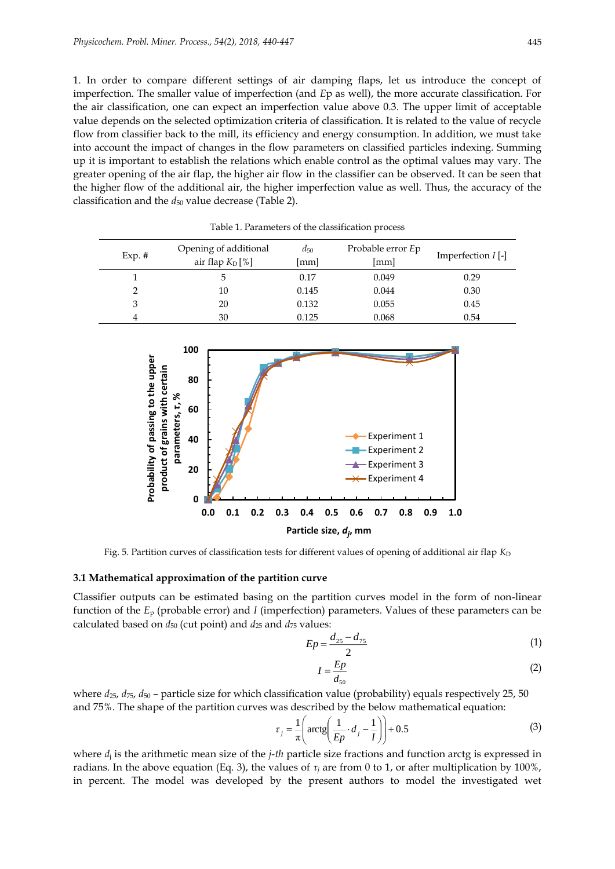1. In order to compare different settings of air damping flaps, let us introduce the concept of imperfection. The smaller value of imperfection (and *E*p as well), the more accurate classification. For the air classification, one can expect an imperfection value above 0.3. The upper limit of acceptable value depends on the selected optimization criteria of classification. It is related to the value of recycle flow from classifier back to the mill, its efficiency and energy consumption. In addition, we must take into account the impact of changes in the flow parameters on classified particles indexing. Summing up it is important to establish the relations which enable control as the optimal values may vary. The greater opening of the air flap, the higher air flow in the classifier can be observed. It can be seen that the higher flow of the additional air, the higher imperfection value as well. Thus, the accuracy of the classification and the  $d_{50}$  value decrease (Table 2).

| $Exp.$ # | Opening of additional<br>air flap $K_D$ [%] | $d_{50}$<br>[mm] | Probable error Ep<br> mm | Imperfection $I$ [-] |
|----------|---------------------------------------------|------------------|--------------------------|----------------------|
|          | 5.                                          | 0.17             | 0.049                    | 0.29                 |
|          | 10                                          | 0.145            | 0.044                    | 0.30                 |
| 3        | 20                                          | 0.132            | 0.055                    | 0.45                 |
| 4        | 30                                          | 0.125            | 0.068                    | 0.54                 |

Table 1. Parameters of the classification process



Fig. 5. Partition curves of classification tests for different values of opening of additional air flap *K*<sub>D</sub>

#### **3.1 Mathematical approximation of the partition curve**

Classifier outputs can be estimated basing on the partition curves model in the form of non-linear function of the *E*<sup>p</sup> (probable error) and *I* (imperfection) parameters. Values of these parameters can be calculated based on  $d_{50}$  (cut point) and  $d_{25}$  and  $d_{75}$  values:

$$
Ep = \frac{d_{25} - d_{75}}{2} \tag{1}
$$

$$
I = \frac{Ep}{d_{50}}\tag{2}
$$

where  $d_{25}$ ,  $d_{75}$ ,  $d_{50}$  – particle size for which classification value (probability) equals respectively 25, 50 and 75%. The shape of the partition curves was described by the below mathematical equation:

$$
\tau_j = \frac{1}{\pi} \left( \arctg \left( \frac{1}{Ep} \cdot d_j - \frac{1}{I} \right) \right) + 0.5 \tag{3}
$$

where *d*<sup>j</sup> is the arithmetic mean size of the *j-th* particle size fractions and function arctg is expressed in radians. In the above equation (Eq. 3), the values of *τ<sup>j</sup>* are from 0 to 1, or after multiplication by 100%, in percent. The model was developed by the present authors to model the investigated wet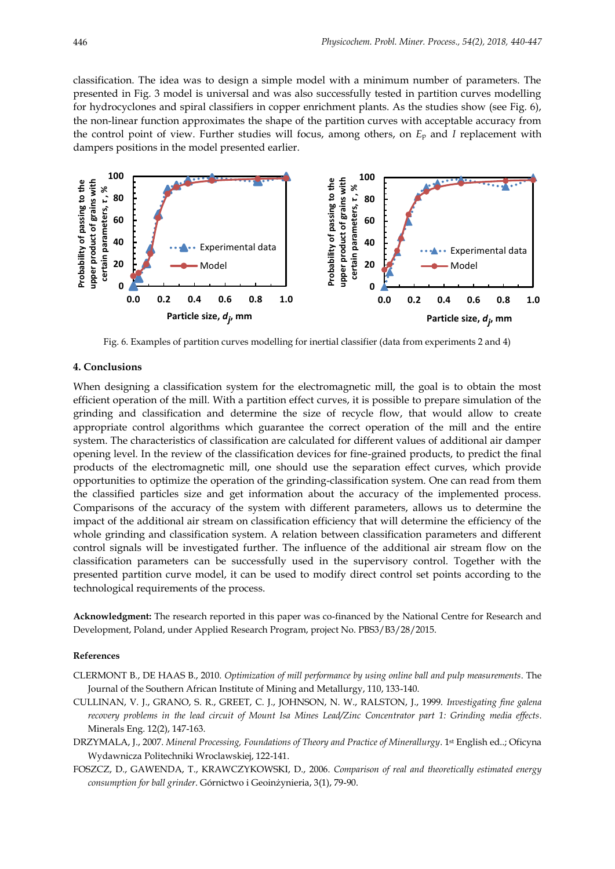classification. The idea was to design a simple model with a minimum number of parameters. The presented in Fig. 3 model is universal and was also successfully tested in partition curves modelling for hydrocyclones and spiral classifiers in copper enrichment plants. As the studies show (see Fig. 6), the non-linear function approximates the shape of the partition curves with acceptable accuracy from the control point of view. Further studies will focus, among others, on *E*<sup>p</sup> and *I* replacement with dampers positions in the model presented earlier.



Fig. 6. Examples of partition curves modelling for inertial classifier (data from experiments 2 and 4)

## **4. Conclusions**

When designing a classification system for the electromagnetic mill, the goal is to obtain the most efficient operation of the mill. With a partition effect curves, it is possible to prepare simulation of the grinding and classification and determine the size of recycle flow, that would allow to create appropriate control algorithms which guarantee the correct operation of the mill and the entire system. The characteristics of classification are calculated for different values of additional air damper opening level. In the review of the classification devices for fine-grained products, to predict the final products of the electromagnetic mill, one should use the separation effect curves, which provide opportunities to optimize the operation of the grinding-classification system. One can read from them the classified particles size and get information about the accuracy of the implemented process. Comparisons of the accuracy of the system with different parameters, allows us to determine the impact of the additional air stream on classification efficiency that will determine the efficiency of the whole grinding and classification system. A relation between classification parameters and different control signals will be investigated further. The influence of the additional air stream flow on the classification parameters can be successfully used in the supervisory control. Together with the presented partition curve model, it can be used to modify direct control set points according to the technological requirements of the process.

**Acknowledgment:** The research reported in this paper was co-financed by the National Centre for Research and Development, Poland, under Applied Research Program, project No. PBS3/B3/28/2015.

#### **References**

- CLERMONT B., DE HAAS B., 2010. *Optimization of mill performance by using online ball and pulp measurements*. The Journal of the Southern African Institute of Mining and Metallurgy, 110, 133-140.
- CULLINAN, V. J., GRANO, S. R., GREET, C. J., JOHNSON, N. W., RALSTON, J., 1999. *Investigating fine galena recovery problems in the lead circuit of Mount Isa Mines Lead/Zinc Concentrator part 1: Grinding media effects*. Minerals Eng. 12(2), 147-163.
- DRZYMALA, J., 2007. *Mineral Processing, Foundations of Theory and Practice of Minerallurgy*. 1<sup>st</sup> English ed..; Oficyna Wydawnicza Politechniki Wroclawskiej, 122-141.
- FOSZCZ, D., GAWENDA, T., KRAWCZYKOWSKI, D., 2006. *Comparison of real and theoretically estimated energy consumption for ball grinder*. Górnictwo i Geoinżynieria, 3(1), 79-90.